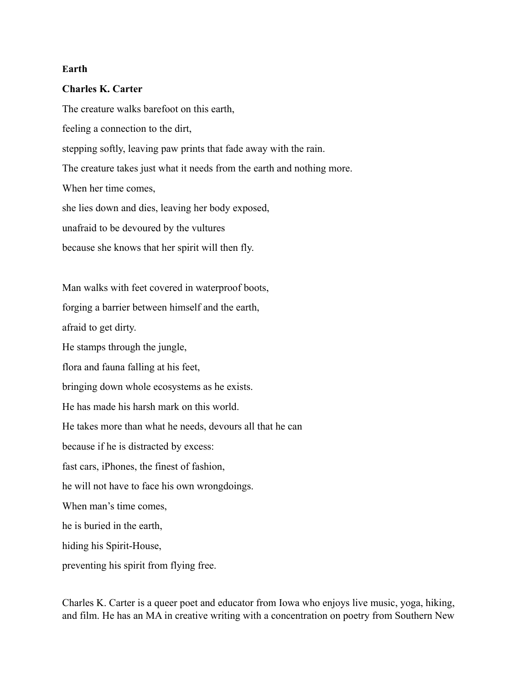## **Earth**

## **Charles K. Carter**

The creature walks barefoot on this earth, feeling a connection to the dirt, stepping softly, leaving paw prints that fade away with the rain. The creature takes just what it needs from the earth and nothing more. When her time comes, she lies down and dies, leaving her body exposed, unafraid to be devoured by the vultures because she knows that her spirit will then fly. Man walks with feet covered in waterproof boots, forging a barrier between himself and the earth, afraid to get dirty. He stamps through the jungle, flora and fauna falling at his feet, bringing down whole ecosystems as he exists.

He has made his harsh mark on this world.

He takes more than what he needs, devours all that he can

because if he is distracted by excess:

fast cars, iPhones, the finest of fashion,

he will not have to face his own wrongdoings.

When man's time comes,

he is buried in the earth,

hiding his Spirit-House,

preventing his spirit from flying free.

Charles K. Carter is a queer poet and educator from Iowa who enjoys live music, yoga, hiking, and film. He has an MA in creative writing with a concentration on poetry from Southern New